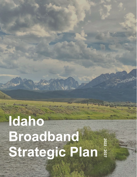### **Idaho Broadband Strategic Plan 2022 - 2027**

**HERT**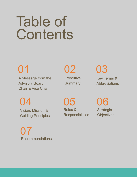## Table of **Contents**

A Message from the Advisory Board Chair & Vice Chair

01 02

**Executive Summary**  03

Key Terms & **Abbreviations** 

04

Vision, Mission & Guiding Principles

05 Roles & **Responsibilities** 

06 **Strategic Objectives** 

07 Recommendations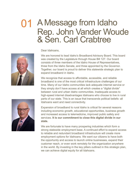### 01 A Message from Idaho Rep. John Vander Woude & Sen. Carl Crabtree



#### Dear Idahoans,

We are honored to lead Idaho's Broadband Advisory Board. This board was created by the Legislature through House Bill 127. Our board consists of three members of the Idaho House of Representatives, three from the Idaho Senate, and three appointed by the Governor. Together, our board is proud to deliver this statewide strategic plan to expand broadband in Idaho.

We recognize that access to affordable, accessible, and reliable broadband is one of the most critical infrastructure challenges of our time. Many of our Idaho communities lack adequate internet service or they simply don't have access at all which creates a "digital divide" between rural and urban Idaho communities. Inadequate access to high-speed internet disadvantages Idahoans who choose to live in rural parts of our state. This is an issue that transcends political beliefs- all Idahoans want and need connectivity.



Expansion of broadband to rural Idaho is critical for several reasons including economic growth, educational opportunities, business growth and increased access to telemedicine, improved public safety and services. **It is our commitment to close this digital divide in our state.** 

We are fortunate to have many prospering industries which form a strong statewide employment base. A continued effort to expand access to reliable and redundant broadband infrastructure will create more employment options for Idahoans. We want our citizens to have both the opportunity and access to launch online businesses, expand their customer reach, or even work remotely for the organization anywhere in the world. By investing in the key pillars outlined in this strategic plan, we can achieve digital equity for all Idahoans.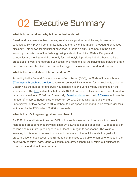### **02 Executive Summary**

#### **What is broadband and why is it important in Idaho?**

Broadband has revolutionized the way services are provided and the way business is conducted. By improving communications and the flow of information, broadband enhances efficiency. This allows for significant advances in Idaho's ability to compete in the global economy. Idaho is one of the fastest growing states in the United States. People and companies are moving to Idaho not only for the lifestyle it provides but also because it's a great place to work and operate businesses. We need to level the playing field between urban and rural areas of the State, and one of the biggest imbalances is broadband access.

#### **What is the current state of broadband data?**

According to the Federal Communications Commission (FCC), the State of Idaho is home to [67 terrestrial broadband providers,](https://app.powerbigov.us/view?r=eyJrIjoiNDg2OGNjNDctMzUyNi00ZDMxLTk2OTEtY2NmYjcyZTBkMzY3IiwidCI6ImQ2Y2ZmMWJkLTY3ZGQtNGNlOC05NDVkLWQwN2RjNzc1NjcyZiJ9) however, connectivity is uneven for the residents of Idaho. Determining the number of unserved households in Idaho varies widely depending on the source cited. The [FCC](https://broadbandmap.fcc.gov/#/area-comparison?version=dec2020&tech=acfw&speed=25_3&searchtype=county&geoid=16&searched=y) estimates that nearly 18,000 households lack access to fixed terrestrial broadband service at 25/3Mbps. Conversely, [BroadbandNow](https://broadbandnow.com/Idaho) and the [US Census](https://www.census.gov/quickfacts/table/PST045215/16) estimate the number of unserved households is closer to 100,000. Connecting Idahoans who are underserved, or lack access to 100/20Mbps, to high-speed broadband, is an even larger task, estimated by the FCC to be 150,000 households.

#### **What is Idaho's long-term goal for broadband?**

By 2027, Idaho will strive to serve 100% of Idaho's businesses and homes with access to high-speed broadband that provides minimum download speeds of at least 100 megabits per second and minimum upload speeds of at least 20 megabits per second. The value of investing in this level of connection is about the future of Idaho. Ultimately, the goal is to prepare citizens, businesses, and all Idaho communities to be able to compete for jobs in the next twenty to thirty years. Idaho will continue to grow economically, retain our businesses, create jobs, and attract entrepreneurs.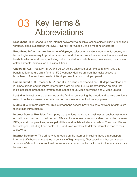### 03 Key Terms & Abbreviations

**Broadband**: High-speed reliable Internet delivered via multiple technologies including fiber, fixed wireless, digital subscriber line (DSL), Hybrid Fiber Coaxial, cable modem, or satellite.

**Broadband Infrastructure:** Networks of deployed telecommunications equipment, conduit, and technologies necessary to provide broadband and other advanced telecommunications services to wholesalers or end users, including but not limited to private homes, businesses, commercial establishments, schools, or public institutions.

**Unserved:** U.S. Treasury, NTIA, and USDA define unserved at 25/3Mbps and will use this benchmark for future grant funding. FCC currently defines an area that lacks access to broadband infrastructure speeds of 10 Mbps download and 1 Mbps upload.

**Underserved:** U.S. Treasury, NTIA, and USDA define underserved as 100 Mbps download and 20 Mbps upload and benchmark for future grant funding. FCC currently defines an area that lacks access to broadband infrastructure speeds of 25 Mbps download and 3 Mbps upload.

**Last Mile**: Infrastructure that serves as the final leg connecting the broadband service provider's network to the end-use customer's on-premises telecommunications equipment.

**Middle Mile**: Infrastructure that links a broadband service provider's core network infrastructure to last-mile infrastructure.

**Internet Service Provider:** A company that provides individuals, businesses, anchor institutions, etc. with a connection to the internet. ISPs can include telephone and cable companies, wireless ISPs, electric cooperatives, municipal utilities, and mobile wireless providers. They use different technologies, including fiber, cable, DSL, and fixed wireless, to deliver internet service to their customers.

**Internet Backbone:** The primary data routes on the internet, including those that transport internet traffic between countries. It consists of high-capacity fiber-optic lines that carry large amounts of data. Local or regional networks can connect to the backbone for long-distance data transmission.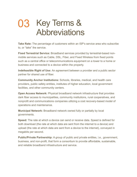### 03 Key Terms & Abbreviations

**Take Rate:** The percentage of customers within an ISP's service area who subscribe to, or "take" the service.

**Fixed Terrestrial Service:** Broadband services provided by terrestrial-based nonmobile services such as Cable, DSL, Fiber, and Fixed Wireless from fixed points such as a central office or telecommunications equipment on a tower to a home or business and connected to a device within the property.

**Indefeasible Right of Use:** An agreement between a provider and a public sector partner for shared use of fiber.

**Community Anchor Institutions:** Schools, libraries, medical, and health care providers, public safety entities, institutes of higher education, local government facilities, and other community centers.

**Open Access Network:** Physical broadband network infrastructure that provides dark fiber access to municipalities, community institutions, rural cooperatives, and nonprofit and communications companies utilizing a cost recovery-based model of operations and maintenance.

**Municipal Network:** Broadband network owned fully or partially by local governments.

**Speed:** The rate at which a device can send or receive data. Speed is defined for both download (the rate at which data are sent from the internet to a device) and upload (the rate at which data are sent from a device to the internet), conveyed in megabits per second.

**Public/Private Partnership:** A group of public and private entities, i.e., government, business, and non-profit, that form a consortium to provide affordable, sustainable, and reliable broadband infrastructure and service.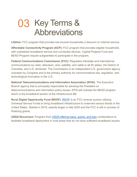### 03 Key Terms & Abbreviations

**Lifeline:** FCC program that provides low-income households a discount on internet service.

**Affordable Connectivity Program (ACP):** FCC program that provides eligible households with subsidized broadband service and connected devices. Capital Projects Fund and BEAD Program require subgrantees to participate in the program**.** 

**Federal Communications Commission (FCC):** Regulates interstate and international communications by radio, television, wire, satellite, and cable in all 50 states, the District of Columbia, and U.S. territories. The Commission is an independent U.S. government agency overseen by Congress and is the primary authority for communications law, regulation, and technological innovation in the U.S.

**National Telecommunications and Information Association (NTIA):** The Executive Branch agency that is principally responsible for advising the President on telecommunications and information policy issues. NTIA will oversee the BEAD program which is the broadband section of the Infrastructure Bill.

**Rural Digital Opportunity Fund (RDOF):** [RDOF](https://www.fcc.gov/reports-research/maps/rdof-phase-i-dec-2020/) is an FCC reverse auction utilizing Universal Service Funds to bring broadband infrastructure to unserved census blocks in the United States. Started in 2019, awards began in late 2020 and the FCC is still in process of finalizing grants.

**USDA Reconnect:** Program from USDA [offering loans, grants, and loan](https://ruraldevelopment.maps.arcgis.com/apps/webappviewer/index.html?id=e0876d9cc9ef458ea00c199b9680c59b) combinations to facilitate broadband deployment in rural areas that do not have sufficient broadband access.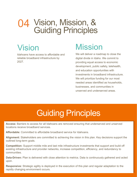### 04 Vision, Mission, & Guiding Principles

### Vision

Idahoans have access to affordable and reliable broadband infrastructure by 2027.

### **Mission**

We will deliver a roadmap to close the digital divide in Idaho. We commit to providing equal access to economic development, public safety, telehealth, and education opportunities with investments in broadband infrastructure. We will prioritize funding for our most needed areas identified as households, businesses, and communities in unserved and underserved areas.

### Guiding Principles

**Access:** Barriers to access for all Idahoans are removed ensuring that underserved and unserved locations receive broadband services.

**Affordable:** Committed to affordable broadband service for Idahoans.

**Alignment:** Stakeholders are committed to achieving the vision in this plan. Key decisions support the outlined long-term goals.

**Competition:** Support middle mile and last mile infrastructure investments that support and build off existing infrastructure and provider networks, increase competition, efficiency, and redundancy to communities.

**Data-Driven:** Plan is delivered with close attention to metrics. Data is continuously gathered and acted upon.

**Responsive:** Strategic agility is deployed in the execution of this plan and regular adaptation to the rapidly changing environment occurs.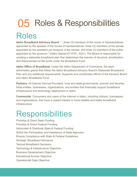## 05 Roles & Responsibilities

### Roles

**Idaho Broadband Advisory Board**: "...three (3) members of the house of representatives appointed by the speaker of the house of representatives, three (3) members of the senate appointed by the president pro tempore of the senate, and three (3) members of the public appointed by the governor." (Idaho Statute 67-4761, 2021). The Board is responsible for creating a statewide broadband plan that determines the manner of structure, prioritization, and disbursement of the funds under the Broadband Fund.

**Idaho Office of Broadband**: Under the Idaho Department of Commerce, the team administers grants that follow the Idaho Broadband Advisory Board's Statewide Broadband Plan and any additional requirements. Supports and coordinates efforts of the Advisory Board and Idaho Broadband Fund.

**Partners**: All Internet Service Providers, local and state governments, schools and libraries, tribal entities, businesses, organizations, and entities that financially support broadband infrastructure and technology deployment in Idaho.

**Community**: Consumers and users of the internet in Idaho, including citizens, businesses, and organizations, that have a vested interest in more reliable and better broadband infrastructure.

### Responsibilities

Prioritize & Direct State Funding Prioritize & Direct Federal Funding Administer & Distribute State & Federal Funding Solicit the Participation and Assistance of State Agencies Ensure Compliance with State & Federal Guidelines Strategic Broadband Decisions Tactical Broadband Decisions Technology & Infrastructure Objective Business Development Objective Educational Access Objective Operations& Data Objective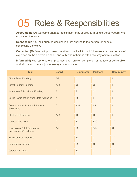## 05 Roles & Responsibilities

**Accountable (A)** Outcome-oriented designation that applies to a single person/board who reports on the work.

**Responsible (R)** Task-oriented designation that applies to the person (or people) completing the work.

**Consulted (C)** Provide input based on either how it will impact future work or their domain of expertise on the deliverable itself, and with whom there is often two-way communication.

**Informed (I)** Kept up to date on progress, often only on completion of the task or deliverable; and with whom there is just one-way communication.

| <b>Task</b>                                                     | <b>Board</b> | <b>Commerce</b> | <b>Partners</b> | <b>Community</b>         |
|-----------------------------------------------------------------|--------------|-----------------|-----------------|--------------------------|
| <b>Direct State Funding</b>                                     | A/R          | $\mathsf{C}$    | C/I             |                          |
| <b>Direct Federal Funding</b>                                   | A/R          | $\mathsf{C}$    | C/I             | ı                        |
| <b>Administer &amp; Distribute Funding</b>                      | $\mathsf{A}$ | R               | C/I             |                          |
| <b>Solicit Participation from State Agencies</b>                | $\mathsf{A}$ | R               |                 |                          |
| <b>Compliance with State &amp; Federal</b><br><b>Guidelines</b> | $\mathsf{C}$ | A/R             | I/R             | $\overline{\phantom{a}}$ |
| <b>Strategic Decisions</b>                                      | A/R          | $\mathsf{C}$    | C/I             | Ī                        |
| <b>Tactical Decisions</b>                                       | $\mathsf{A}$ | R               | R/C             | C/I                      |
| Technology & Infrastructure<br><b>Deployment Standards</b>      | A/I          | R               | A/R             | C/I                      |
| <b>Business Development</b>                                     |              | R               | $\mathsf{C}$    | C/I                      |
| <b>Educational Access</b>                                       | I            | R               | $\mathsf C$     | C/I                      |
| <b>Operations, Data</b>                                         | $\mathsf{A}$ | $\mathsf{R}$    | $\mathsf{C}$    | C/I                      |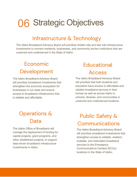### Infrastructure & Technology

The Idaho Broadband Advisory Board will prioritize middle mile and last mile infrastructure investments to connect residents, businesses, and community anchor institutions that are unserved and underserved in the State of Idaho.

### Economic Development

The Idaho Broadband Advisory Board will prioritize broadband investments that strengthen the economic ecosystem for businesses in our state and ensure access to broadband infrastructure that is reliable and affordable.

### Operations & Data

The Idaho Office of Broadband will manage the deployment of funding for capital projects, grant programs, and other established projects, to support data-driven broadband infrastructure investments in Idaho.

### **Educational** Access

The Idaho Broadband Advisory Board will prioritize that both students and educators have access to affordable and reliable broadband services in their homes as well as across Idaho in schools, libraries, and communities in unserved and underserved locations.

### Public Safety & Communications

The Idaho Broadband Advisory Board will prioritize broadband investments that strengthen access to reliable, resilient, scalable, and redundant broadband services to the Emergency Communications Centers (ECCs) locations in the State of Idaho.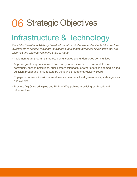### Infrastructure & Technology

*The Idaho Broadband Advisory Board will prioritize middle mile and last mile infrastructure investments to connect residents, businesses, and community anchor institutions that are unserved and underserved in the State of Idaho.*

- Implement grant programs that focus on unserved and underserved communities
- Approve grant programs focused on delivery to locations or last mile, middle mile, community anchor institutions, public safety, telehealth, or other priorities deemed lacking sufficient broadband infrastructure by the Idaho Broadband Advisory Board
- Engage in partnerships with internet service providers, local governments, state agencies, and experts.
- Promote Dig Once principles and Right of Way policies in building out broadband infrastructure.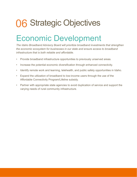### Economic Development

*The Idaho Broadband Advisory Board will prioritize broadband investments that strengthen the economic ecosystem for businesses in our state and ensure access to broadband infrastructure that is both reliable and affordable.*

- Provide broadband infrastructure opportunities to previously unserved areas.
- Increase the potential economic diversification through enhanced connectivity.
- Identify remote work and learning, telehealth, and public safety opportunities in Idaho.
- Expand the utilization of broadband to low-income users through the use of the Affordable Connectivity Program/Lifeline subsidy.
- Partner with appropriate state agencies to avoid duplication of service and support the varying needs of rural community infrastructure.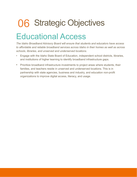### Educational Access

*The Idaho Broadband Advisory Board will ensure that students and educators have access to affordable and reliable broadband services across Idaho in their homes as well as across schools, libraries, and unserved and underserved locations.*

- Engage with the Idaho State Board of Education, independent school districts, libraries, and institutions of higher learning to identify broadband infrastructure gaps.
- Prioritize broadband infrastructure investments to project areas where students, their families, and teachers reside in unserved and underserved locations. This is in partnership with state agencies, business and industry, and education non-profit organizations to improve digital access, literacy, and usage.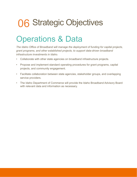### **Operations & Data**

*The Idaho Office of Broadband will manage the deployment of funding for capital projects, grant programs, and other established projects, to support data-driven broadband infrastructure investments in Idaho.*

- Collaborate with other state agencies on broadband infrastructure projects.
- Propose and implement standard operating procedures for grant programs, capital projects, and community engagement.
- Facilitate collaboration between state agencies, stakeholder groups, and overlapping service providers.
- The Idaho Department of Commerce will provide the Idaho Broadband Advisory Board with relevant data and information as necessary.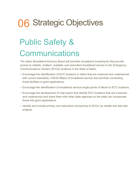### Public Safety & **Communications**

*The Idaho Broadband Advisory Board will prioritize broadband investments that provide access to reliable, resilient, scalable, and redundant broadband service to the Emergency Communications Centers (ECCs) locations in the State of Idaho.*

- Encourage the identification of ECC locations in Idaho that are unserved and underserved with current standards (100/20 Mbps) of broadband service and prioritize connecting those facilities in grant applications.
- Encourage the identification of broadband service single points of failure to ECC locations.
- Encourage the development of map layers that identify ECC locations that are unserved and underserved and share them with other state agencies so the state can incorporate those into grant applications.
- Identify and include primary and redundant connectivity to ECCs via middle and last-mile projects.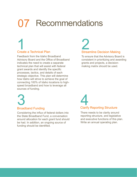## 07 Recommendations

# Create a Technical Plan 1

Feedback from the Idaho Broadband Advisory Board and the Office of Broadband indicates the need to create a separate technical plan that will assist with federal grant awards and identify the specific processes, tactics, and details of each strategic objective. This plan will determine how Idaho will strive to achieve the goal of connecting 100% of Idaho locations to highspeed broadband and how to leverage all sources of funding.

# **2**<br>Streamline Decision Making

To ensure that the Advisory Board is consistent in prioritizing and awarding grants and projects, a decisionmaking matrix should be used.

**3**<br>Broadband Funding

Considering the influx of federal dollars into the State Broadband Fund, a conversation around allocation for each grant fund should be had. In addition, an ongoing source of funding should be identified.

Clarify Reporting Structure 4

There needs to be clarity around reporting structure, and legislative and executive functions of this plan. Write an annual operating plan.